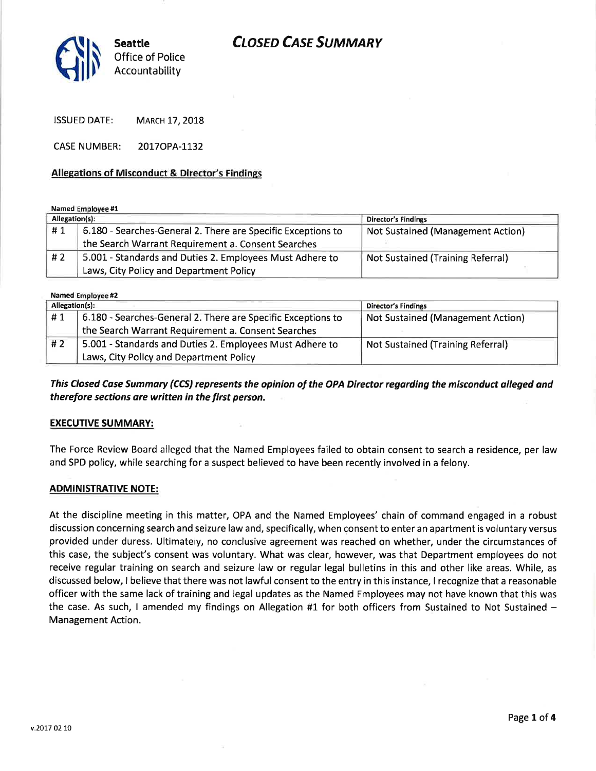# **CLOSED CASE SUMMARY**



ISSUED DATE: MARCH 17, 2018

CASE NUMBER: 20I7OPA-I132

## Allegations of Misconduct & Director's Findings

Named Employee #1

| Allegation(s): |                                                              | <b>Director's Findings</b>               |
|----------------|--------------------------------------------------------------|------------------------------------------|
| l#1            | 6.180 - Searches-General 2. There are Specific Exceptions to | Not Sustained (Management Action)        |
|                | the Search Warrant Requirement a. Consent Searches           |                                          |
| #2             | 5.001 - Standards and Duties 2. Employees Must Adhere to     | <b>Not Sustained (Training Referral)</b> |
|                | Laws, City Policy and Department Policy                      |                                          |

Named Employee #2

| Allegation(s): |                                                              | Director's Findings                      |
|----------------|--------------------------------------------------------------|------------------------------------------|
| #1             | 6.180 - Searches-General 2. There are Specific Exceptions to | Not Sustained (Management Action)        |
|                | the Search Warrant Requirement a. Consent Searches           |                                          |
| #2             | 5.001 - Standards and Duties 2. Employees Must Adhere to     | <b>Not Sustained (Training Referral)</b> |
|                | Laws, City Policy and Department Policy                      |                                          |

This Closed Case Summary (CCS) represents the opinion of the OPA Director regarding the misconduct alleged and therefore sections are written in the first person.

## EXECUTIVE SUMMARY:

The Force Review Board alleged that the Named Employees failed to obtain consent to search a residence, per law and SPD policy, while searching for a suspect believed to have been recently involved in a felony.

## ADMINISTRATIVE NOTE:

At the discipline meeting in this matter, OPA and the Named Employees' chain of command engaged in a robust discussion concerning search and seizure law and, specifically, when consent to enter an apartment is voluntary versus provided under duress. Ultimately, no conclusive agreement was reached on whether, under the circumstances of this case, the subject's consent was voluntary. What was clear, however, was that Department employees do not receive regular training on search and seizure law or regular legal bulletins in this and other like areas. While, as discussed below, I believe that there was not lawful consent to the entry in this instance, I recognize that a reasonable officer with the same lack of training and legal updates as the Named Employees may not have known that this was the case. As such, I amended my findings on Allegation #1 for both officers from Sustained to Not Sustained  $-$ Management Action.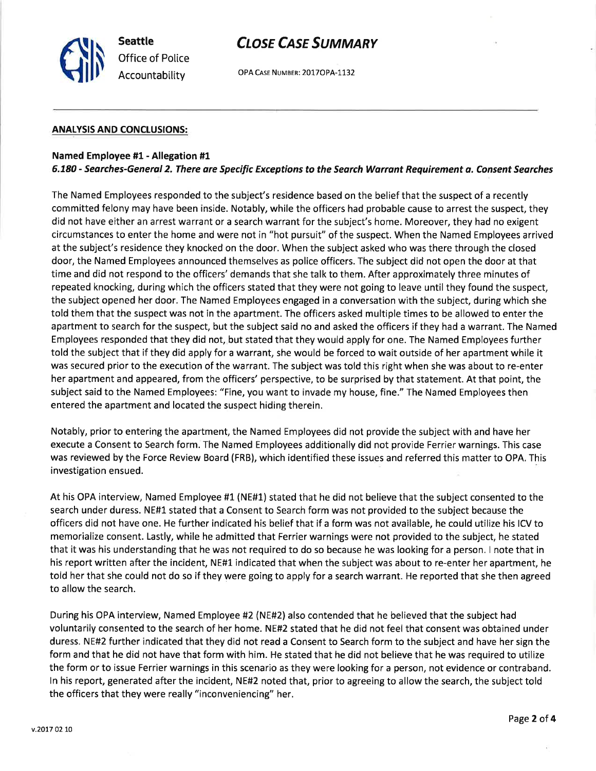

# **CLOSE CASE SUMMARY**

OPA CASE NUMBER: 2017OPA-1132

## ANALYSIS AND CONCLUSIONS:

## Named Employee #1 - Allegation #1

## 6.780 - Sedrches-General 2. There are Specific Exceptions to the Seorch Wdrront Requirement a. Consent Searches

The Named Employees responded to the subject's residence based on the belief that the suspect of a recently committed felony may have been inside. Notably, while the officers had probable cause to arrest the suspect, they did not have either an arrest warrant or a search warrant for the subject's home. Moreover, they had no exigent circumstances to enter the home and were not in "hot pursuit" of the suspect. When the Named Employees arrived at the subject's residence they knocked on the door. When the subject asked who was there through the closed door, the Named Employees announced themselves as police officers. The subject did not open the door at that time and did not respond to the officers' demands that she talk to them. After approximately three minutes of repeated knocking, during which the officers stated that they were not going to leave until they found the suspect, the subject opened her door. The Named Employees engaged in a conversation with the subject, during which she told them that the suspect was not in the apartment. The officers asked multiple times to be allowed to enter the apartment to search for the suspect, but the subject said no and asked the officers if they had a warrant. The Named Employees responded that they did not, but stated that they would apply for one. The Named Employees further told the subject that if they did apply for a warrant, she would be forced to wait outside of her apartment while it was secured prior to the execution of the warrant. The subject was told this right when she was about to re-enter her apartment and appeared, from the officers' perspective, to be surprised by that statement. At that point, the subject said to the Named Employees: "Fine, you want to invade my house, fine." The Named Employees then entered the apartment and located the suspect hiding therein.

Notably, prior to entering the apartment, the Named Employees did not provide the subject with and have her execute a Consent to Search form. The Named Employees additionally did not provide Ferrier warnings. This case was reviewed by the Force Review Board (FRB), which identified these issues and referred this matter to OPA. This investigation ensued.

At his OPA interview, Named Employee #1 (NE#1) stated that he did not believe that the subject consented to the search under duress. NE#1 stated that a Consent to Search form was not provided to the subject because the officers did not have one. He further indicated his belief that if a form was not available, he could utilize his lCVto memorialize consent. Lastly, while he admitted that Ferrier warnings were not provided to the subject, he stated that it was his understanding that he was not required to do so because he was looking for a person. I note that in his report written after the incident, NE#1 indicated that when the subject was about to re-enter her apartment, he told her that she could not do so if they were going to apply for a search warrant. He reported that she then agreed to allow the search.

During his OPA interview, Named Employee #2 (NE#2) also contended that he believed that the subject had voluntarily consented to the search of her home. NE#2 stated that he did not feel that consent was obtained under duress. NE#2 further indicated that they did not read a Consent to Search form to the subject and have her sign the form and that he did not have that form with him. He stated that he did not believe that he was required to utilize the form or to issue Ferrier warnings in this scenario as they were looking for a person, not evidence or contraband. ln his report, generated after the incident, NE#2 noted that, prior to agreeing to allow the search, the subject told the officers that they were really "inconveniencing" her.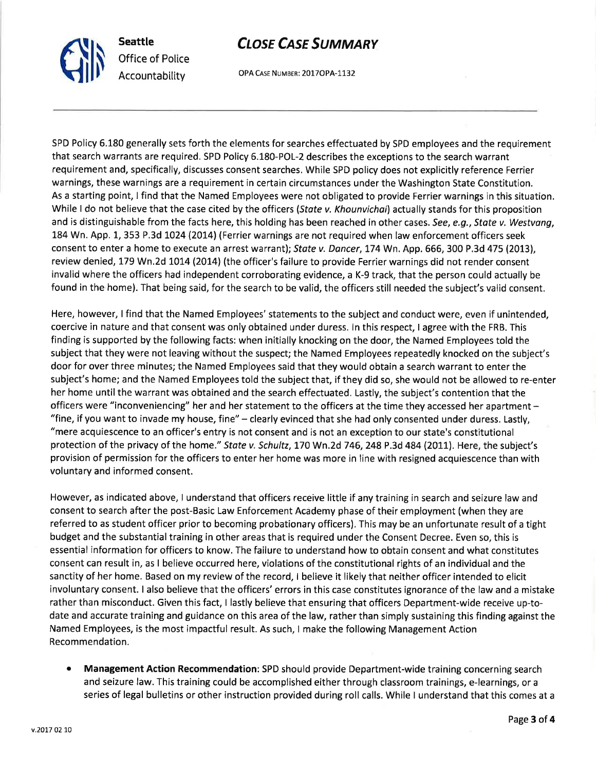# **CLOSE CASE SUMMARY**

OPA CASE NUMBER: 2017OPA-1132

SPD Policy 6.180 generally sets forth the elements for searches effectuated by SPD employees and the requirement that search warrants are required. SPD Policy 6.180-POL-2 describes the exceptions to the search warrant requirement and, specifically, discusses consent searches. While SPD policy does not explicitly reference Ferrier warnings, these warnings are a requirement in certain circumstances under the Washington State Constitution. As a starting point, I find that the Named Employees were not obligated to provide Ferrier warnings in this situation. While I do not believe that the case cited by the officers (State v. Khounvichai) actually stands for this proposition and is distinguishable from the facts here, this holding has been reached in other cases. See, e.g., State v. Westvang, 184 Wn. App. 1, 353 P.3d 1024 (2014) (Ferrier warnings are not required when law enforcement officers seek consent to enter a home to execute an arrest warrant); State v. Dancer, 174 Wn. App. 666, 300 P.3d 475 (2013). review denied, 179 Wn.2d 1014 (2014) (the officer's failure to provide Ferrier warnings did not render consent invalid where the officers had independent corroborating evidence, a K-9 track, that the person could actually be found in the home). That being said, for the search to be valid, the officers still needed the subject's valid consent.

Here, however, I find that the Named Employees' statements to the subject and conduct were, even if unintended, coercive in nature and that consent was only obtained under duress. ln this respect, I agree with the FRB. This finding is supported by the following facts: when initially knocking on the door, the Named Employees told the subject that they were not leaving without the suspect; the Named Employees repeatedly knocked on the subject's door for over three minutes; the Named Employees said that they would obtain a search warrant to enter the subject's home; and the Named Employees told the subject that, if they did so, she would not be allowed to re-enter her home until the warrant was obtained and the search effectuated. Lastly, the subject's contention that the officers were "inconveniencing" her and her statement to the officers at the time they accessed her apartment -"fine, if you want to invade my house, fine" - clearly evinced that she had only consented under duress. Lastly, "mere acquiescence to an officer's entry is not consent and is not an exception to our state's constitutional protection of the privacy of the home." State v. Schultz, 170 Wn.2d 746, 248 P.3d 484 (2011). Here, the subject's provision of permission for the officers to enter her home was more in line with resigned acquiescence than with voluntary and informed consent.

However, as indicated above, I understand that officers receive little if any training in search and seizure law and consent to search after the post-Basic Law Enforcement Academy phase of their employment (when they are referred to as student officer prior to becoming probationary officers). This may be an unfortunate result of a tight budget and the substantial training in other areas that is required under the Consent Decree. Even so, this is essential information for officers to know. The failure to understand how to obtain consent and what constitutes consent can result in, as I believe occurred here, violations of the constitutional rights of an individual and the sanctity of her home. Based on my review of the record, I believe it likely that neither officer intended to elicit involuntary consent. I also believe that the officers' errors in this case constitutes ignorance of the law and a mistake rather than misconduct. Given this fact, I lastly believe that ensuring that officers Department-wide receive up-todate and accurate training and guidance on this area of the law, rather than simply sustaining this finding against the Named Employees, is the most impactful result. As such, I make the following Management Action Recommendation.

o Management Action Recommendation: SPD should provide Department-wide training concerning search and seizure law. This training could be accomplished either through classroom trainings, e-learnings, or <sup>a</sup> series of legal bulletins or other instruction provided during roll calls. While I understand that this comes at <sup>a</sup>



Seattle Office of Police Accountability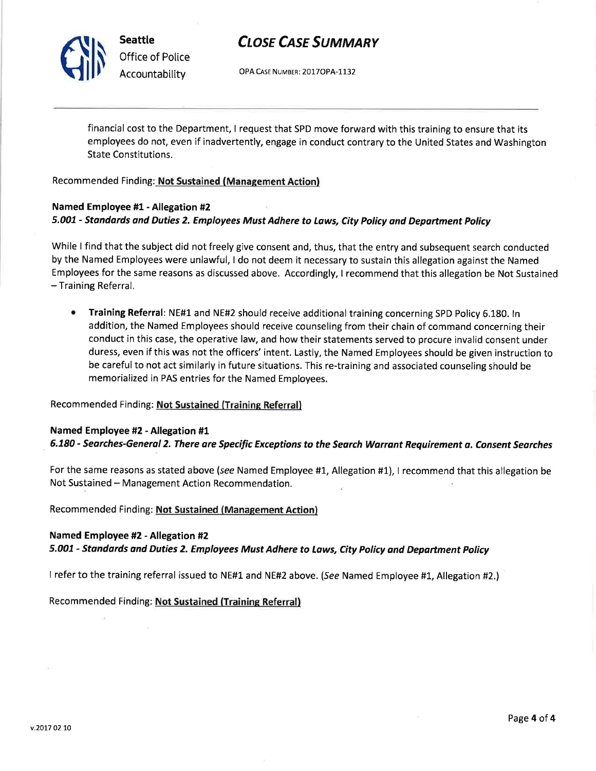

# **CLOSE CASE SUMMARY**

OPA CASE NUMBER: 2017OPA-1132

financial cost to the Department, I request that SPD move forward with this training to ensure that its employees do not, even if inadvertently, engage in conduct contrary to the United States and Washington State Constitutions.

## Recommended Finding: Not Sustained (Management Action)

# Named Employee #1 - Allegation #2 5,007 - Standards and Duties 2. Employees Must Adhere to Lows, City Policy ond Deportment Policy

While I find that the subject did not freely give consent and, thus, that the entry and subsequent search conducted by the Named Employees were unlawful, I do not deem it necessary to sustain this allegation against the Named Employees for the same reasons as discussed above. Accordingly, I recommend that this allegation be Not Sustained - Training Referral.

Training Referral: NE#L and NE#2 should receive additional training concerning SPD Policy 5.180. ln addition, the Named Employees should receive counseling from their chain of command concerning their conduct in this case, the operative law, and how their statements served to procure invalid consent under duress, even if this was not the officers' intent. Lastly, the Named Employees should be given instruction to be careful to-not act similarly in future situations. This re-training and associated counseling should be memorialized in PAS entries for the Named Employees. a

## Recommended Finding: Not Sustained (Training Referral)

## Named Employee #2 - Allegation #1

6.180 - Searches-General 2. There are Specific Exceptions to the Search Warrant Requirement a. Consent Searches

For the same reasons as stated above (see Named Employee #1, Allegation #1), I recommend that this allegation be Not Sustained - Management Action Recommendation.

Recommended Finding: Not Sustained (Management Action)

## Named Employee #2 - Allegation #2

5.007 - Stondards dnd Duties 2. Employees Must Adhere to Laws, City Policy and Department Policy

I refer to the training referral issued to NE#1 and NE#2 above. (See Named Employee #1, Allegation #2.)

Recommended Finding: Not Sustained (Trainine Referral)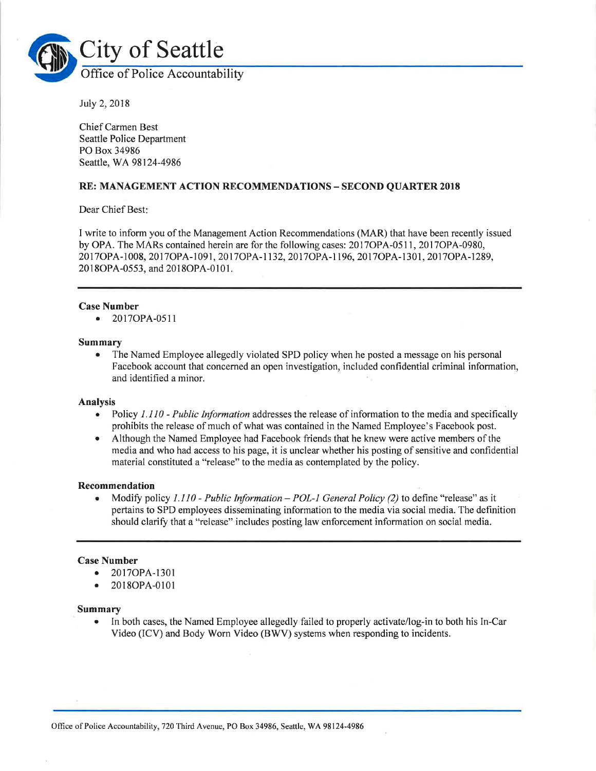

July 2,2018

Chief Carmen Best Seattle Police Department PO Box 34986 Seattle, WA98124-4986

## RE: MANAGEMENT ACTION RECOMMENDATIONS - SECOND QUARTER <sup>2018</sup>

Dear Chief Best

I write to inform you of the Management Action Recommendations (MAR) that have been recently issued by OPA. The MARs contained herein are for the following cases: 20 I TOPA-05 <sup>1</sup>1 , 2017OPA-0980, 20170P4-1008, 20170PA-1091, 20l70PA-1132,20170PA-1 196, 2017oPA-1301, 20170PA-1289, 2018OPA-0553, and 2018OPA-0101.

#### Case Number

o 2017OPA-0511

#### Summary

• The Named Employee allegedly violated SPD policy when he posted a message on his personal Facebook account that concerned an open investigation, included confidential criminal information, and identified a minor.

#### Analysis

- Policy  $1.110$  Public Information addresses the release of information to the media and specifically prohibits the release of much of what was contained in the Named Employee's Facebook post.
- . Although the Named Employee had Facebook friends that he knew were active members of the media and who had access to his page, it is unclear whether his posting of sensitive and confidential material constituted a "release" to the media as contemplated by the policy.

#### Recommendation

Modify policy  $1.110$  - Public Information - POL-1 General Policy (2) to define "release" as it pertains to SPD employees disseminating information to the media via social media. The definition should clarify that a "release" includes posting law enforcement information on social media.

#### Case Number

- o 2077OPA-1301
- 2018OPA-0101

#### Summary

In both cases, the Named Employee allegedly failed to properly activate/log-in to both his In-Car Video (lCV) and Body Worn Video (BWV) systems when responding to incidents.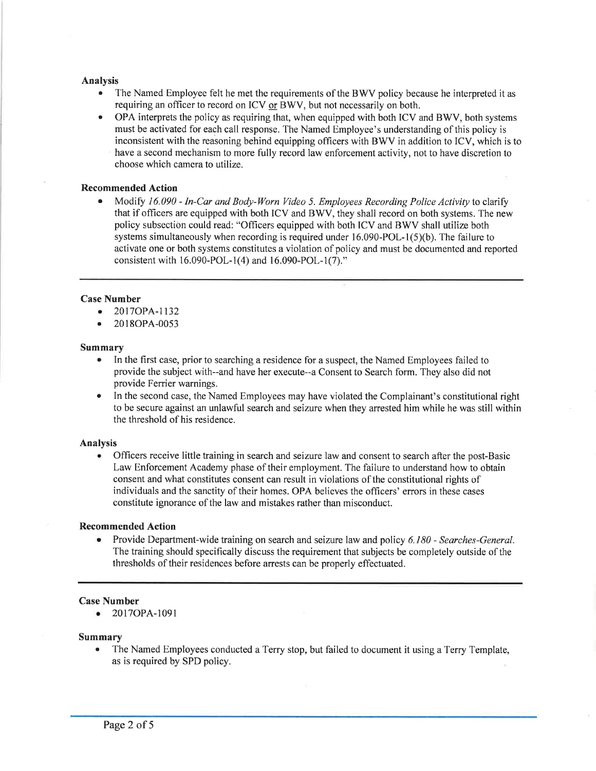### Analysis

- . The Named Employee felt he met the requirements of the BWV policy because he interpreted it as requiring an officer to record on ICV or BWV, but not necessarily on both.
- OPA interprets the policy as requiring that, when equipped with both ICV and BWV, both systems must be activated for each call response. The Named Employee's understanding of this policy is inconsistent with the reasoning behind equipping officers with BWV in addition to ICV, which is to have a second mechanism to more fully record law enforcement activity, not to have discretion to choose which camera to utilize.

### Recommended Action

Modify 16.090 - In-Car and Body-Worn Video 5. Employees Recording Police Activity to clarify that if officers are equipped with both ICV and BWV, they shall record on both systems. The new policy subsection could read: "Officers equipped with both ICV and BWV shall utilize both systems simultaneously when recording is required under  $16.090$ -POL- $1(5)(b)$ . The failure to activate one or both systems constitutes a violation of policy and must be documented and reported consistent with 16.090-POL-1(4) and 16.090-POL-1(7)."

## Case Number

- o 2017OPA-1132
- . 2018OPA-0053

### Summary

- In the first case, prior to searching a residence for a suspect, the Named Employees failed to provide the subject with--and have her execute--a Consent to Search form. They also did not provide Ferrier warnings.
- In the second case, the Named Employees may have violated the Complainant's constitutional right to be secure against an unlawful search and seizure when they arrested him while he was still within the threshold of his residence.

#### Analysis

o Officers receive little training in search and seizure law and consent to search after the post-Basic Law Enforcement Academy phase of their employment. The failure to understand how to obtain consent and what constitutes consent can result in violations of the constitutional rights of individuals and the sanctity of their homes. OPA believes the officers' errors in these cases constitute ignorance of the law and mistakes rather than misconduct.

#### Recommended Action

Provide Department-wide training on search and seizure law and policy 6.180 - Searches-General. The training should specifically discuss the requirement that subjects be completely outside of the thresholds of their residences before arrests can be properly effectuated.

## Case Number

. 20I7OPA-1091

#### Summary

. The Named Employees conducted a Terry stop, but failed to document it using a Terry Template, as is required by SPD policy.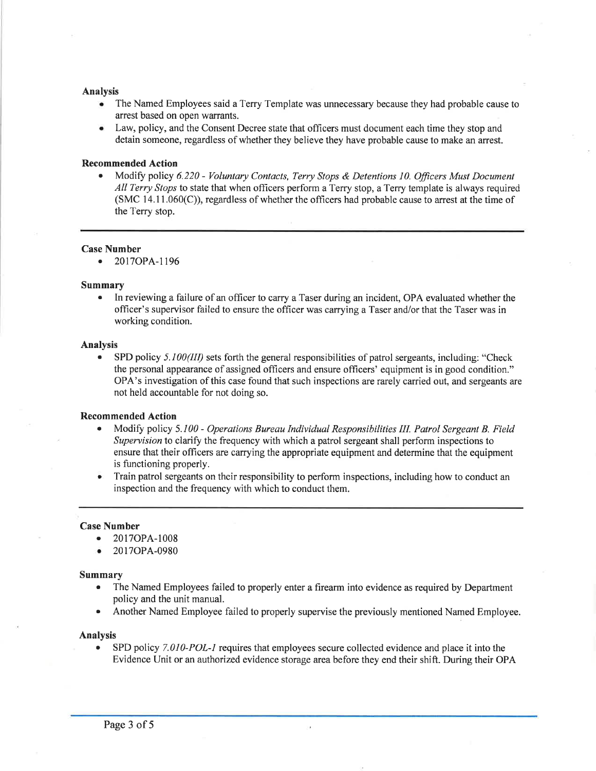#### Analysis

- The Named Employees said a Terry Template was unnecessary because they had probable cause to arrest based on open warrants.
- o Law, policy, and the Consent Decree state that officers must document each time they stop and detain someone, regardless of whether they believe they have probable cause to make an arrest.

#### Recommended Action

. Modify policy 6.220 - Voluntary Contacts, Teryy Stops & Detentions 10. Officers Must Document All Terry Stops to state that when officers perform a Terry stop, a Terry template is always required  $(SMC 14.11.060(C))$ , regardless of whether the officers had probable cause to arrest at the time of the Terry stop.

#### Case Number

o 2017OPA-1196

#### Summary

. In reviewing a failure of an officer to carry a Taser during an incident, OPA evaluated whether the officer's supervisor failed to ensure the officer was carrying a Taser and/or that the Taser was in working condition.

#### Analysis

SPD policy 5.100(III) sets forth the general responsibilities of patrol sergeants, including: "Check the personal appearance of assigned officers and ensure officers' equipment is in good condition." OPA's investigation of this case found that such inspections are rarely carried out, and sergeants are not held accountable for not doing so.

#### Recommended Action

- Modify policy 5.100 Operations Bureau Individual Responsibilities III. Patrol Sergeant B. Field Supervision to clarify the frequency with which a patrol sergeant shall perform inspections to ensure that their officers are carrying the appropriate equipment and determine that the equipment is functioning properly.
- . Train patrol sergeants on their responsibility to perform inspections, including how to conduct an inspection and the frequency with which to conduct them.

## Case Number

- . 2017OPA-1008
- o 2077OPA-0980

#### Summary

- The Named Employees failed to properly enter a firearm into evidence as required by Department policy and the unit manual.
- Another Named Employee failed to properly supervise the previously mentioned Named Employee.

#### Analysis

SPD policy 7.010-POL-I requires that employees secure collected evidence and place it into the Evidence Unit or an authorized evidence storage area before they end their shift. During their OPA

ò.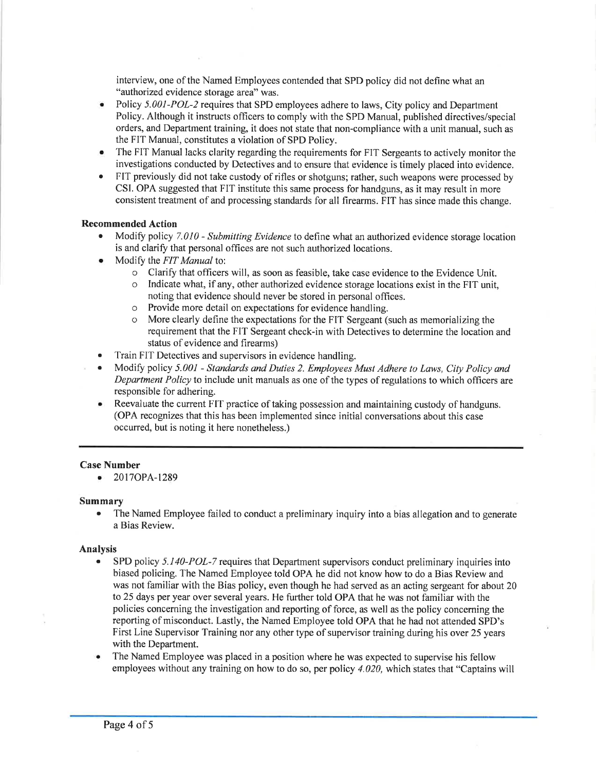interview, one of the Named Employees contended that SPD policy did not define what an "authorized evidence storage area" was.

- Policy 5.001-POL-2 requires that SPD employees adhere to laws, City policy and Department Policy. Although it instructs officers to comply with the SPD Manual, published directives/special orders, and Department training, it does not state that non-compliance with a unit manual, such as the FIT Manual, constitutes a violation of SPD Policy. a
- The FIT Manual lacks clarity regarding the requirements for FIT Sergeants to actively monitor the investigations conducted by Detectives and to ensure that evidence is timely placed into evidence. a
- FIT previously did not take custody of rifles or shotguns; rather, such weapons were processed by CSI. OPA suggested that FIT institute this same process for handguns, as it may result in more consistent treatment of and processing standards for all firearms. FIT has since made this change. a

## Recommended Action

- Modify policy 7.010 Submitting Evidence to define what an authorized evidence storage location is and clarify that personal offices are not such authorized locations.
- Modify the FIT Manual to:
	- o Clarify that officers will, as soon as feasible, take case evidence to the Evidence Unit.
	- o Indicate what, ifany, other authorized evidence storage locations exist in the FIT unit, noting that evidence should never be stored in personal offices.
	- o Provide more detail on expectations for evidence handling.
	- o More clearly define the expectations for the FIT Sergeant (such as memorializing the requirement that the FIT Sergeant check-in with Detectives to determine the location and status of evidence and firearms)
- . Train FIT Detectives and supervisors in evidence handling.
- Modify policy 5.001 Standards and Duties 2. Employees Must Adhere to Laws, City Policy and Department Policy to include unit manuals as one of the types of regulations to which officers are responsible for adhering.
- . Reevaluate the current FIT practice of taking possession and maintaining custody of handguns. (OPA recognizes that this has been implemented since initial conversations about this case occurred, but is noting it here nonetheless.)

## Case Number

o 20I7OPA-1289

## Summary

. The Named Employee failed to conduct a preliminary inquiry into a bias allegation and to generate a Bias Review.

## Analysis

- SPD policy 5.140-POL-7 requires that Department supervisors conduct preliminary inquiries into biased policing. The Named Employee told OPA he did not know how to do a Bias Review and was not familiar with the Bias policy, even though he had served as an acting sergeant for about 20 to 25 days per year over several years. He further told OPA that he was not familiar with the policies conceming the investigation and reporting of force, as well as the policy conceming the reporting of misconduct. Lastly, the Named Employee told OPA that he had not attended SPD's First Line Supervisor Training nor any other type of supervisor training during his over 25 years with the Department.
- The Named Employee was placed in a position where he was expected to supervise his fellow employees without any training on how to do so, per policy  $4.020$ , which states that "Captains will